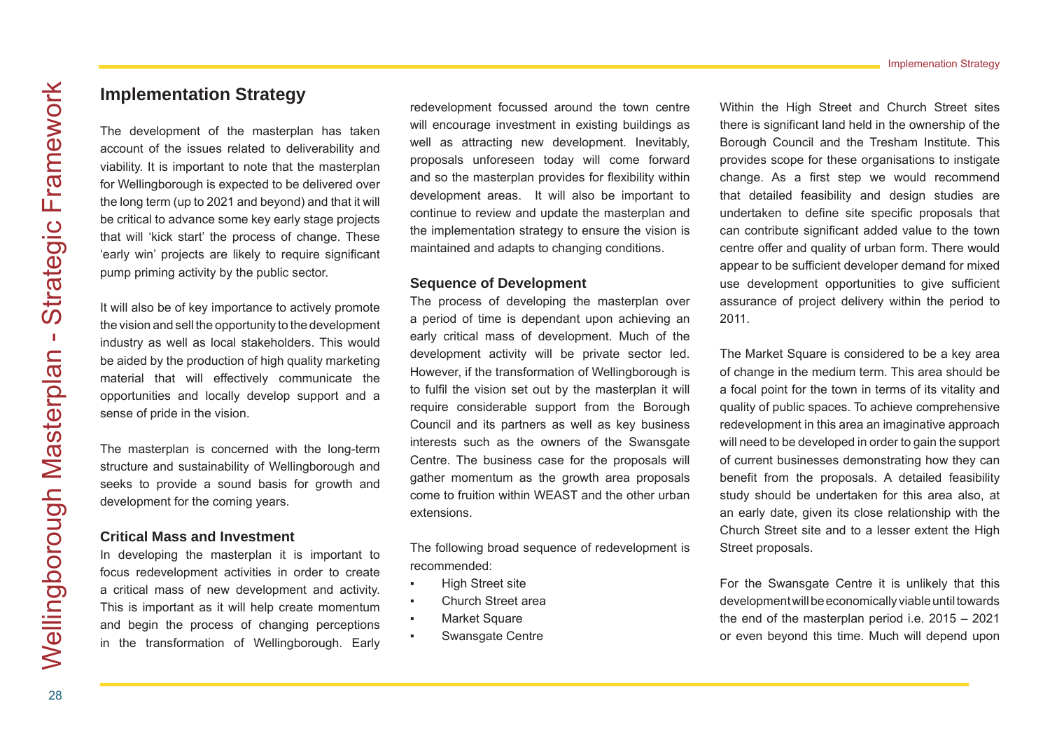# **Implementation Strategy**

The development of the masterplan has taken account of the issues related to deliverability and viability. It is important to note that the masterplan for Wellingborough is expected to be delivered over the long term (up to 2021 and beyond) and that it will be critical to advance some key early stage projects that will 'kick start' the process of change. These 'early win' projects are likely to require significant pump priming activity by the public sector.

It will also be of key importance to actively promote the vision and sell the opportunity to the development industry as well as local stakeholders. This would be aided by the production of high quality marketing material that will effectively communicate the opportunities and locally develop support and a sense of pride in the vision.

The masterplan is concerned with the long-term structure and sustainability of Wellingborough and seeks to provide a sound basis for growth and development for the coming years.

#### **Critical Mass and Investment**

In developing the masterplan it is important to focus redevelopment activities in order to create a critical mass of new development and activity. This is important as it will help create momentum and begin the process of changing perceptions in the transformation of Wellingborough. Early

redevelopment focussed around the town centre will encourage investment in existing buildings as well as attracting new development. Inevitably, proposals unforeseen today will come forward and so the masterplan provides for flexibility within development areas. It will also be important to continue to review and update the masterplan and the implementation strategy to ensure the vision is maintained and adapts to changing conditions.

### **Sequence of Development**

The process of developing the masterplan over a period of time is dependant upon achieving an early critical mass of development. Much of the development activity will be private sector led. However, if the transformation of Wellingborough is to fulfil the vision set out by the masterplan it will require considerable support from the Borough Council and its partners as well as key business interests such as the owners of the Swansgate Centre. The business case for the proposals will gather momentum as the growth area proposals come to fruition within WEAST and the other urban extensions.

The following broad sequence of redevelopment is recommended:

- High Street site
- Church Street area
- Market Square
- Swansgate Centre

Within the High Street and Church Street sites there is significant land held in the ownership of the Borough Council and the Tresham Institute. This provides scope for these organisations to instigate change. As a first step we would recommend that detailed feasibility and design studies are undertaken to define site specific proposals that can contribute significant added value to the town centre offer and quality of urban form. There would appear to be sufficient developer demand for mixed use development opportunities to give sufficient assurance of project delivery within the period to 2011.

The Market Square is considered to be a key area of change in the medium term. This area should be a focal point for the town in terms of its vitality and quality of public spaces. To achieve comprehensive redevelopment in this area an imaginative approach will need to be developed in order to gain the support of current businesses demonstrating how they can benefit from the proposals. A detailed feasibility study should be undertaken for this area also, at an early date, given its close relationship with the Church Street site and to a lesser extent the High Street proposals.

For the Swansgate Centre it is unlikely that this development will be economically viable until towards the end of the masterplan period i.e. 2015 – 2021 or even beyond this time. Much will depend upon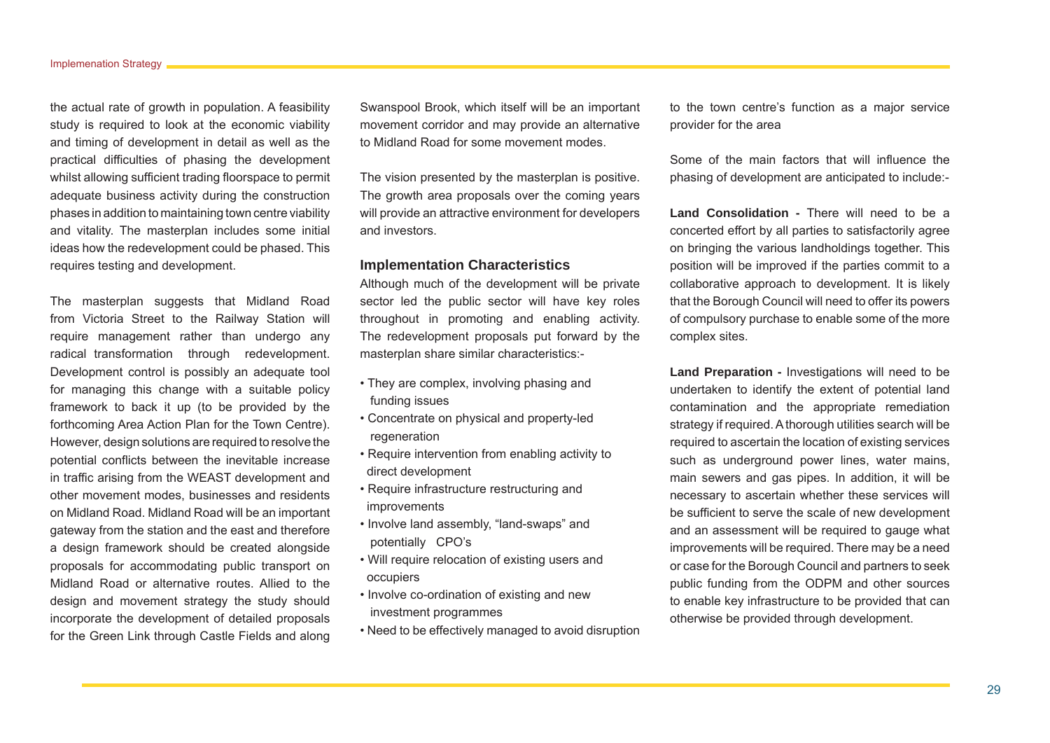the actual rate of growth in population. A feasibility study is required to look at the economic viability and timing of development in detail as well as the practical difficulties of phasing the development whilst allowing sufficient trading floorspace to permit adequate business activity during the construction phases in addition to maintaining town centre viability and vitality. The masterplan includes some initial ideas how the redevelopment could be phased. This requires testing and development.

The masterplan suggests that Midland Road from Victoria Street to the Railway Station will require management rather than undergo any radical transformation through redevelopment. Development control is possibly an adequate tool for managing this change with a suitable policy framework to back it up (to be provided by the forthcoming Area Action Plan for the Town Centre). However, design solutions are required to resolve the potential conflicts between the inevitable increase in traffic arising from the WEAST development and other movement modes, businesses and residents on Midland Road. Midland Road will be an important gateway from the station and the east and therefore a design framework should be created alongside proposals for accommodating public transport on Midland Road or alternative routes. Allied to the design and movement strategy the study should incorporate the development of detailed proposals for the Green Link through Castle Fields and along

Swanspool Brook, which itself will be an important movement corridor and may provide an alternative to Midland Road for some movement modes.

The vision presented by the masterplan is positive. The growth area proposals over the coming years will provide an attractive environment for developers and investors.

# **Implementation Characteristics**

Although much of the development will be private sector led the public sector will have key roles throughout in promoting and enabling activity. The redevelopment proposals put forward by the masterplan share similar characteristics:-

- They are complex, involving phasing and funding issues
- Concentrate on physical and property-led regeneration
- Require intervention from enabling activity to direct development
- Require infrastructure restructuring and improvements
- Involve land assembly, "land-swaps" and potentially CPO's
- Will require relocation of existing users and occupiers
- Involve co-ordination of existing and new investment programmes
- Need to be effectively managed to avoid disruption

to the town centre's function as a major service provider for the area

Some of the main factors that will influence the phasing of development are anticipated to include:-

**Land Consolidation -** There will need to be a concerted effort by all parties to satisfactorily agree on bringing the various landholdings together. This position will be improved if the parties commit to a collaborative approach to development. It is likely that the Borough Council will need to offer its powers of compulsory purchase to enable some of the more complex sites.

**Land Preparation -** Investigations will need to be undertaken to identify the extent of potential land contamination and the appropriate remediation strategy if required. A thorough utilities search will be required to ascertain the location of existing services such as underground power lines, water mains, main sewers and gas pipes. In addition, it will be necessary to ascertain whether these services will be sufficient to serve the scale of new development and an assessment will be required to gauge what improvements will be required. There may be a need or case for the Borough Council and partners to seek public funding from the ODPM and other sources to enable key infrastructure to be provided that can otherwise be provided through development.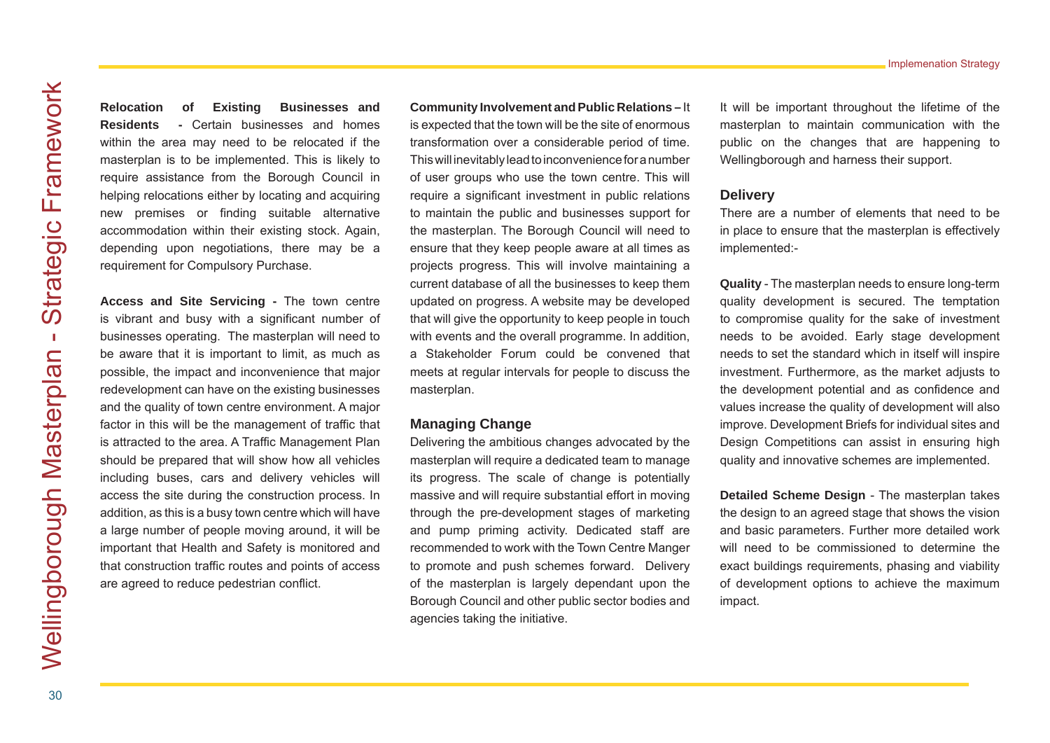Implemenation Strategy

**Relocation of Existing Businesses and Residents -** Certain businesses and homes within the area may need to be relocated if the masterplan is to be implemented. This is likely to require assistance from the Borough Council in helping relocations either by locating and acquiring new premises or finding suitable alternative accommodation within their existing stock. Again, depending upon negotiations, there may be a requirement for Compulsory Purchase.

**Access and Site Servicing -** The town centre is vibrant and busy with a significant number of businesses operating. The masterplan will need to be aware that it is important to limit, as much as possible, the impact and inconvenience that major redevelopment can have on the existing businesses and the quality of town centre environment. A major factor in this will be the management of traffic that is attracted to the area. A Traffic Management Plan should be prepared that will show how all vehicles including buses, cars and delivery vehicles will access the site during the construction process. In addition, as this is a busy town centre which will have a large number of people moving around, it will be important that Health and Safety is monitored and that construction traffic routes and points of access are agreed to reduce pedestrian conflict.

**Community Involvement and Public Relations –** It is expected that the town will be the site of enormous transformation over a considerable period of time. This will inevitably lead to inconvenience for a number of user groups who use the town centre. This will require a significant investment in public relations to maintain the public and businesses support for the masterplan. The Borough Council will need to ensure that they keep people aware at all times as projects progress. This will involve maintaining a current database of all the businesses to keep them updated on progress. A website may be developed that will give the opportunity to keep people in touch with events and the overall programme. In addition, a Stakeholder Forum could be convened that meets at regular intervals for people to discuss the masterplan.

## **Managing Change**

Delivering the ambitious changes advocated by the masterplan will require a dedicated team to manage its progress. The scale of change is potentially massive and will require substantial effort in moving through the pre-development stages of marketing and pump priming activity. Dedicated staff are recommended to work with the Town Centre Manger to promote and push schemes forward. Delivery of the masterplan is largely dependant upon the Borough Council and other public sector bodies and agencies taking the initiative.

It will be important throughout the lifetime of the masterplan to maintain communication with the public on the changes that are happening to Wellingborough and harness their support.

# **Delivery**

There are a number of elements that need to be in place to ensure that the masterplan is effectively implemented:-

**Quality** - The masterplan needs to ensure long-term quality development is secured. The temptation to compromise quality for the sake of investment needs to be avoided. Early stage development needs to set the standard which in itself will inspire investment. Furthermore, as the market adjusts to the development potential and as confidence and values increase the quality of development will also improve. Development Briefs for individual sites and Design Competitions can assist in ensuring high quality and innovative schemes are implemented.

**Detailed Scheme Design** - The masterplan takes the design to an agreed stage that shows the vision and basic parameters. Further more detailed work will need to be commissioned to determine the exact buildings requirements, phasing and viability of development options to achieve the maximum impact.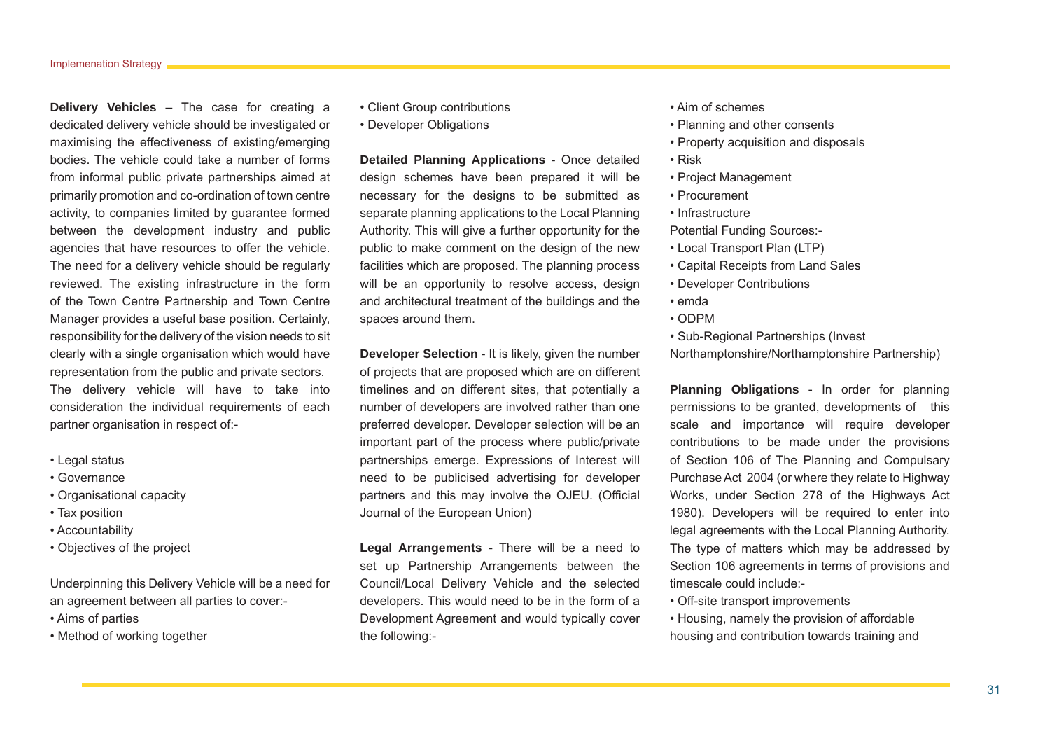**Delivery Vehicles** – The case for creating a dedicated delivery vehicle should be investigated or maximising the effectiveness of existing/emerging bodies. The vehicle could take a number of forms from informal public private partnerships aimed at primarily promotion and co-ordination of town centre activity, to companies limited by guarantee formed between the development industry and public agencies that have resources to offer the vehicle. The need for a delivery vehicle should be regularly reviewed. The existing infrastructure in the form of the Town Centre Partnership and Town Centre Manager provides a useful base position. Certainly, responsibility for the delivery of the vision needs to sit clearly with a single organisation which would have representation from the public and private sectors. The delivery vehicle will have to take into consideration the individual requirements of each partner organisation in respect of:-

- Legal status
- Governance
- Organisational capacity
- Tax position
- Accountability
- Objectives of the project

Underpinning this Delivery Vehicle will be a need for an agreement between all parties to cover:-

- Aims of parties
- Method of working together
- Client Group contributions
- Developer Obligations

**Detailed Planning Applications** - Once detailed design schemes have been prepared it will be necessary for the designs to be submitted as separate planning applications to the Local Planning Authority. This will give a further opportunity for the public to make comment on the design of the new facilities which are proposed. The planning process will be an opportunity to resolve access, design and architectural treatment of the buildings and the spaces around them.

**Developer Selection** - It is likely, given the number of projects that are proposed which are on different timelines and on different sites, that potentially a number of developers are involved rather than one preferred developer. Developer selection will be an important part of the process where public/private partnerships emerge. Expressions of Interest will need to be publicised advertising for developer partners and this may involve the OJEU. (Official Journal of the European Union)

**Legal Arrangements** - There will be a need to set up Partnership Arrangements between the Council/Local Delivery Vehicle and the selected developers. This would need to be in the form of a Development Agreement and would typically cover the following:-

- Aim of schemes
- Planning and other consents
- Property acquisition and disposals
- Risk
- Project Management
- Procurement
- Infrastructure

Potential Funding Sources:-

- Local Transport Plan (LTP)
- Capital Receipts from Land Sales
- Developer Contributions
- emda
- ODPM
- Sub-Regional Partnerships (Invest

Northamptonshire/Northamptonshire Partnership)

**Planning Obligations** - In order for planning permissions to be granted, developments of this scale and importance will require developer contributions to be made under the provisions of Section 106 of The Planning and Compulsary Purchase Act 2004 (or where they relate to Highway Works, under Section 278 of the Highways Act 1980). Developers will be required to enter into legal agreements with the Local Planning Authority. The type of matters which may be addressed by Section 106 agreements in terms of provisions and timescale could include:-

- Off-site transport improvements
- Housing, namely the provision of affordable housing and contribution towards training and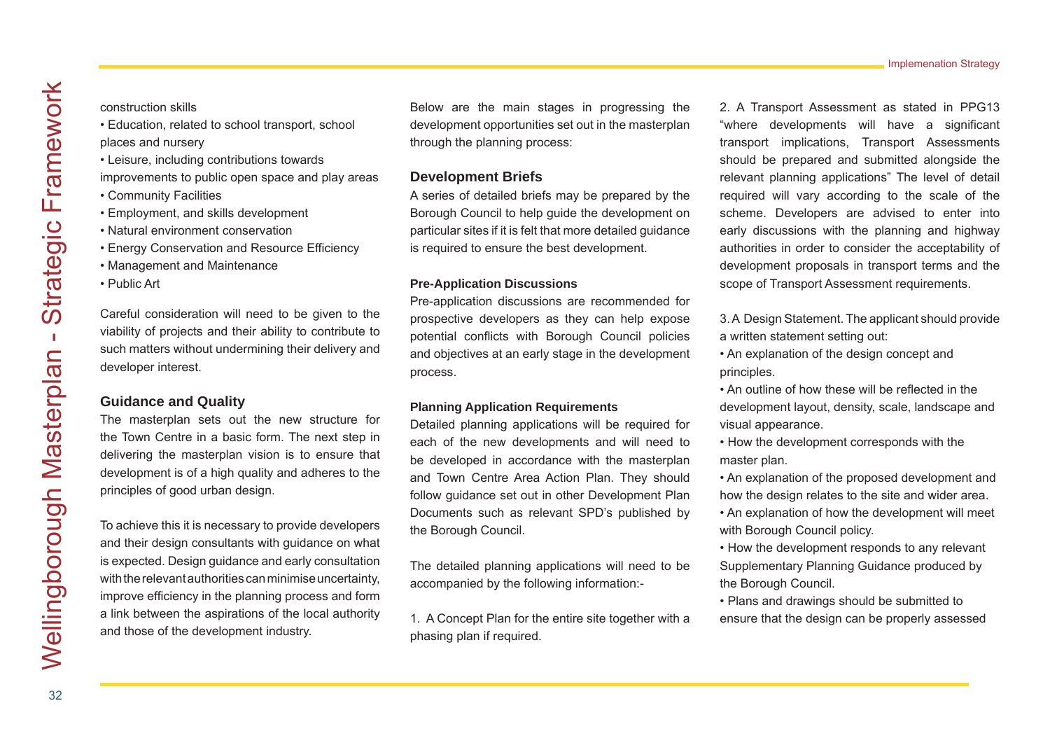#### construction skills

- Education, related to school transport, school
- places and nursery
- Leisure, including contributions towards

improvements to public open space and play areas

- Community Facilities
- Employment, and skills development
- Natural environment conservation
- Energy Conservation and Resource Efficiency
- Management and Maintenance
- Public Art

Careful consideration will need to be given to the viability of projects and their ability to contribute to such matters without undermining their delivery and developer interest.

### **Guidance and Quality**

The masterplan sets out the new structure for the Town Centre in a basic form. The next step in delivering the masterplan vision is to ensure that development is of a high quality and adheres to the principles of good urban design.

To achieve this it is necessary to provide developers and their design consultants with guidance on what is expected. Design guidance and early consultation with the relevant authorities can minimise uncertainty, improve efficiency in the planning process and form a link between the aspirations of the local authority and those of the development industry.

Below are the main stages in progressing the development opportunities set out in the masterplan through the planning process:

# **Development Briefs**

A series of detailed briefs may be prepared by the Borough Council to help guide the development on particular sites if it is felt that more detailed guidance is required to ensure the best development.

#### **Pre-Application Discussions**

Pre-application discussions are recommended for prospective developers as they can help expose potential conflicts with Borough Council policies and objectives at an early stage in the development process.

#### **Planning Application Requirements**

Detailed planning applications will be required for each of the new developments and will need to be developed in accordance with the masterplan and Town Centre Area Action Plan. They should follow guidance set out in other Development Plan Documents such as relevant SPD's published by the Borough Council.

The detailed planning applications will need to be accompanied by the following information:-

1. A Concept Plan for the entire site together with a phasing plan if required.

2. A Transport Assessment as stated in PPG13 "where developments will have a significant transport implications, Transport Assessments should be prepared and submitted alongside the relevant planning applications" The level of detail required will vary according to the scale of the scheme. Developers are advised to enter into early discussions with the planning and highway authorities in order to consider the acceptability of development proposals in transport terms and the scope of Transport Assessment requirements.

- 3. A Design Statement. The applicant should provide a written statement setting out:
- An explanation of the design concept and principles.
- An outline of how these will be reflected in the development layout, density, scale, landscape and visual appearance.
- How the development corresponds with the master plan.
- An explanation of the proposed development and how the design relates to the site and wider area.
- An explanation of how the development will meet with Borough Council policy.
- How the development responds to any relevant Supplementary Planning Guidance produced by the Borough Council.
- Plans and drawings should be submitted to ensure that the design can be properly assessed